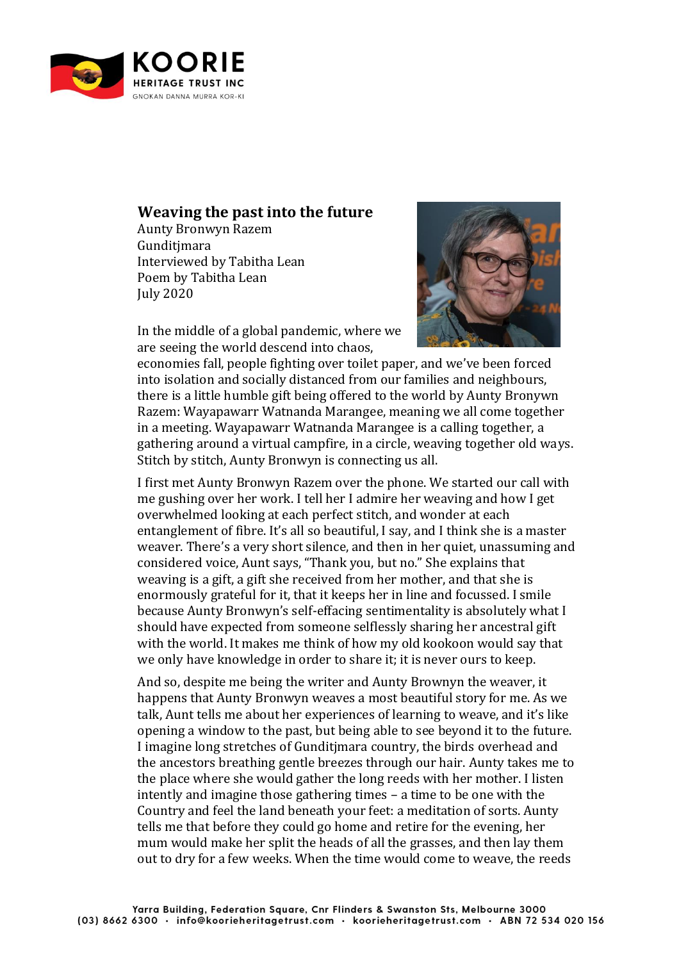

## **Weaving the past into the future**

Aunty Bronwyn Razem Gunditimara Interviewed by Tabitha Lean Poem by Tabitha Lean July 2020



In the middle of a global pandemic, where we are seeing the world descend into chaos,

economies fall, people fighting over toilet paper, and we've been forced into isolation and socially distanced from our families and neighbours, there is a little humble gift being offered to the world by Aunty Bronywn Razem: Wayapawarr Watnanda Marangee, meaning we all come together in a meeting. Wayapawarr Watnanda Marangee is a calling together, a gathering around a virtual campfire, in a circle, weaving together old ways. Stitch by stitch, Aunty Bronwyn is connecting us all.

I first met Aunty Bronwyn Razem over the phone. We started our call with me gushing over her work. I tell her I admire her weaving and how I get overwhelmed looking at each perfect stitch, and wonder at each entanglement of fibre. It's all so beautiful, I say, and I think she is a master weaver. There's a very short silence, and then in her quiet, unassuming and considered voice, Aunt says, "Thank you, but no." She explains that weaving is a gift, a gift she received from her mother, and that she is enormously grateful for it, that it keeps her in line and focussed. I smile because Aunty Bronwyn's self-effacing sentimentality is absolutely what I should have expected from someone selflessly sharing her ancestral gift with the world. It makes me think of how my old kookoon would say that we only have knowledge in order to share it; it is never ours to keep.

And so, despite me being the writer and Aunty Brownyn the weaver, it happens that Aunty Bronwyn weaves a most beautiful story for me. As we talk, Aunt tells me about her experiences of learning to weave, and it's like opening a window to the past, but being able to see beyond it to the future. I imagine long stretches of Gunditjmara country, the birds overhead and the ancestors breathing gentle breezes through our hair. Aunty takes me to the place where she would gather the long reeds with her mother. I listen intently and imagine those gathering times – a time to be one with the Country and feel the land beneath your feet: a meditation of sorts. Aunty tells me that before they could go home and retire for the evening, her mum would make her split the heads of all the grasses, and then lay them out to dry for a few weeks. When the time would come to weave, the reeds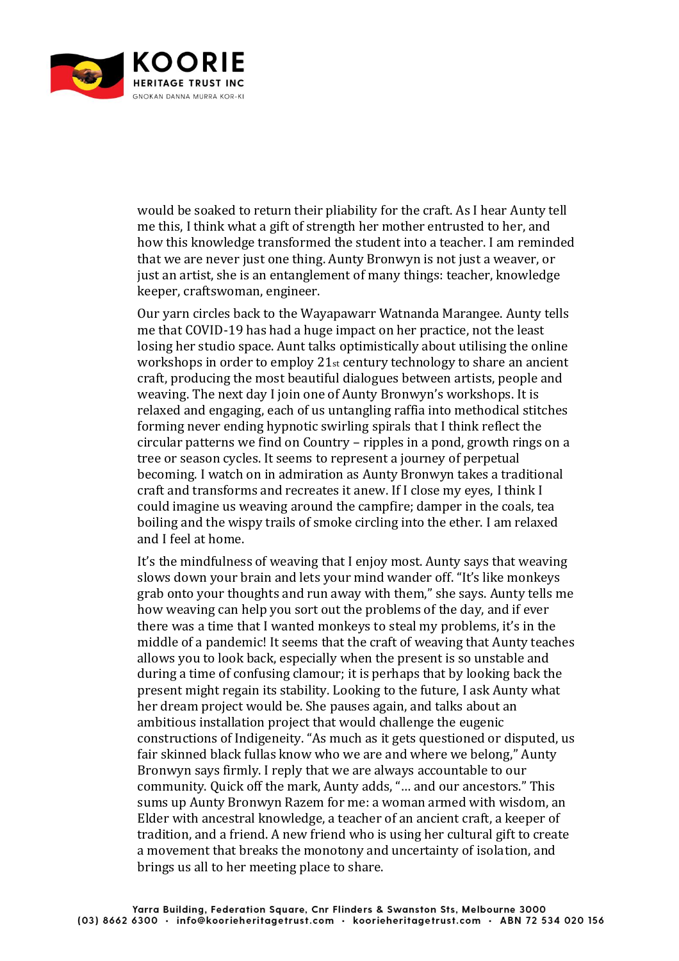

would be soaked to return their pliability for the craft. As I hear Aunty tell me this, I think what a gift of strength her mother entrusted to her, and how this knowledge transformed the student into a teacher. I am reminded that we are never just one thing. Aunty Bronwyn is not just a weaver, or just an artist, she is an entanglement of many things: teacher, knowledge keeper, craftswoman, engineer.

Our yarn circles back to the Wayapawarr Watnanda Marangee. Aunty tells me that COVID-19 has had a huge impact on her practice, not the least losing her studio space. Aunt talks optimistically about utilising the online workshops in order to employ 21st century technology to share an ancient craft, producing the most beautiful dialogues between artists, people and weaving. The next day I join one of Aunty Bronwyn's workshops. It is relaxed and engaging, each of us untangling raffia into methodical stitches forming never ending hypnotic swirling spirals that I think reflect the circular patterns we find on Country – ripples in a pond, growth rings on a tree or season cycles. It seems to represent a journey of perpetual becoming. I watch on in admiration as Aunty Bronwyn takes a traditional craft and transforms and recreates it anew. If I close my eyes, I think I could imagine us weaving around the campfire; damper in the coals, tea boiling and the wispy trails of smoke circling into the ether. I am relaxed and I feel at home.

It's the mindfulness of weaving that I enjoy most. Aunty says that weaving slows down your brain and lets your mind wander off. "It's like monkeys grab onto your thoughts and run away with them," she says. Aunty tells me how weaving can help you sort out the problems of the day, and if ever there was a time that I wanted monkeys to steal my problems, it's in the middle of a pandemic! It seems that the craft of weaving that Aunty teaches allows you to look back, especially when the present is so unstable and during a time of confusing clamour; it is perhaps that by looking back the present might regain its stability. Looking to the future, I ask Aunty what her dream project would be. She pauses again, and talks about an ambitious installation project that would challenge the eugenic constructions of Indigeneity. "As much as it gets questioned or disputed, us fair skinned black fullas know who we are and where we belong," Aunty Bronwyn says firmly. I reply that we are always accountable to our community. Quick off the mark, Aunty adds, "… and our ancestors." This sums up Aunty Bronwyn Razem for me: a woman armed with wisdom, an Elder with ancestral knowledge, a teacher of an ancient craft, a keeper of tradition, and a friend. A new friend who is using her cultural gift to create a movement that breaks the monotony and uncertainty of isolation, and brings us all to her meeting place to share.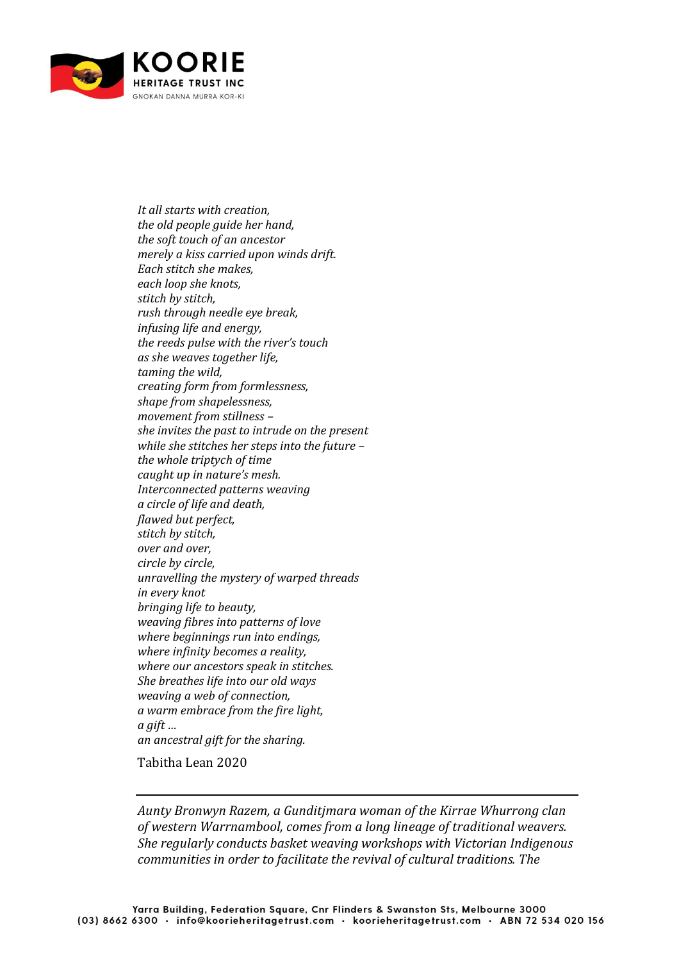

*It all starts with creation, the old people guide her hand, the soft touch of an ancestor merely a kiss carried upon winds drift. Each stitch she makes, each loop she knots, stitch by stitch, rush through needle eye break, infusing life and energy, the reeds pulse with the river's touch as she weaves together life, taming the wild, creating form from formlessness, shape from shapelessness, movement from stillness – she invites the past to intrude on the present while she stitches her steps into the future – the whole triptych of time caught up in nature's mesh. Interconnected patterns weaving a circle of life and death, flawed but perfect, stitch by stitch, over and over, circle by circle, unravelling the mystery of warped threads in every knot bringing life to beauty, weaving fibres into patterns of love where beginnings run into endings, where infinity becomes a reality, where our ancestors speak in stitches. She breathes life into our old ways weaving a web of connection, a warm embrace from the fire light, a gift … an ancestral gift for the sharing.*

Tabitha Lean 2020

*Aunty Bronwyn Razem, a Gunditjmara woman of the Kirrae Whurrong clan of western Warrnambool, comes from a long lineage of traditional weavers. She regularly conducts basket weaving workshops with Victorian Indigenous communities in order to facilitate the revival of cultural traditions. The*